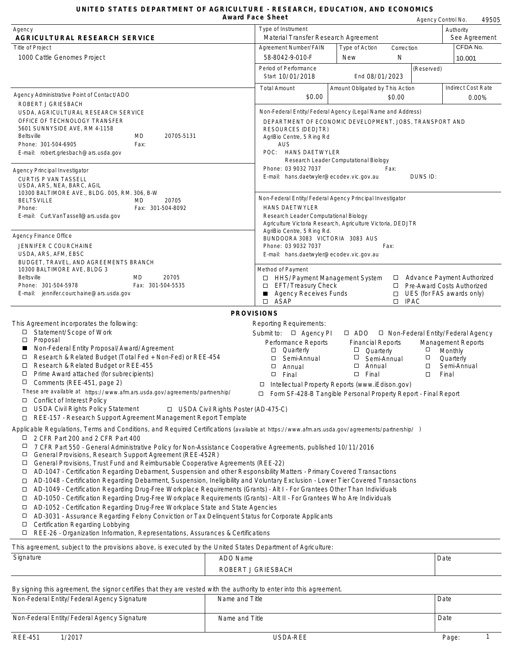## **UNITED STATES DEPARTMENT OF AGRICULTURE - RESEARCH, EDUCATION, AND ECONOMICS**

|                                                                                                                                                                                                                                                                | Award Face Sheet                           |                                                                 |                                       |                  |                                          | Agency Control No.        | 49505         |
|----------------------------------------------------------------------------------------------------------------------------------------------------------------------------------------------------------------------------------------------------------------|--------------------------------------------|-----------------------------------------------------------------|---------------------------------------|------------------|------------------------------------------|---------------------------|---------------|
| Agency<br>AGRICULTURAL RESEARCH SERVICE                                                                                                                                                                                                                        |                                            | Type of Instrument<br>Material Transfer Research Agreement      |                                       |                  |                                          | Authority                 | See Agreement |
| <b>Title of Project</b>                                                                                                                                                                                                                                        |                                            | Agreement Number/FAIN                                           | Type of Action                        | Correction       |                                          | CFDA No.                  |               |
| 1000 Cattle Genomes Project                                                                                                                                                                                                                                    |                                            | 58-8042-9-010-F                                                 | New                                   | N                |                                          | 10.001                    |               |
|                                                                                                                                                                                                                                                                |                                            | Period of Performance<br>Start 10/01/2018                       | End 08/01/2023                        |                  | (Reserved)                               |                           |               |
| Agency Administrative Point of Contact/ADO<br>ROBERT J GRIESBACH                                                                                                                                                                                               |                                            | <b>Total Amount</b><br>\$0.00                                   | Amount Obligated by This Action       | \$0.00           |                                          | <b>Indirect Cost Rate</b> | 0.00%         |
| USDA, AGRICULTURAL RESEARCH SERVICE                                                                                                                                                                                                                            |                                            | Non-Federal Entity/Federal Agency (Legal Name and Address)      |                                       |                  |                                          |                           |               |
| OFFICE OF TECHNOLOGY TRANSFER                                                                                                                                                                                                                                  |                                            | DEPARTMENT OF ECONOMIC DEVELOPMENT, JOBS, TRANSPORT AND         |                                       |                  |                                          |                           |               |
| 5601 SUNNYSIDE AVE, RM 4-1158<br>MD<br>20705-5131<br>Beltsville                                                                                                                                                                                                |                                            | <b>RESOURCES (DEDJTR)</b>                                       |                                       |                  |                                          |                           |               |
| Phone: 301-504-6905<br>Fax:                                                                                                                                                                                                                                    |                                            | AgriBio Centre, 5 Ring Rd<br><b>AUS</b>                         |                                       |                  |                                          |                           |               |
| E-mail: robert.griesbach@ars.usda.gov                                                                                                                                                                                                                          |                                            | POC: HANS DAETWYLER                                             |                                       |                  |                                          |                           |               |
|                                                                                                                                                                                                                                                                |                                            |                                                                 | Research Leader Computational Biology |                  |                                          |                           |               |
| <b>Agency Principal Investigator</b>                                                                                                                                                                                                                           |                                            | Phone: 03 9032 7037<br>E-mail: hans.daetwyler@ecodev.vic.gov.au |                                       | Fax:             | DUNS ID:                                 |                           |               |
| <b>CURTIS P VAN TASSELL</b><br>USDA, ARS, NEA, BARC, AGIL                                                                                                                                                                                                      |                                            |                                                                 |                                       |                  |                                          |                           |               |
| 10300 BALTIMORE AVE., BLDG. 005, RM. 306, B-W                                                                                                                                                                                                                  |                                            | Non-Federal Entity/Federal Agency Principal Investigator        |                                       |                  |                                          |                           |               |
| <b>BELTSVILLE</b><br>20705<br>MD<br>Phone:<br>Fax: 301-504-8092                                                                                                                                                                                                |                                            | <b>HANS DAETWYLER</b>                                           |                                       |                  |                                          |                           |               |
| E-mail: Curt.VanTassell@ars.usda.gov                                                                                                                                                                                                                           |                                            | Research Leader Computational Biology                           |                                       |                  |                                          |                           |               |
|                                                                                                                                                                                                                                                                |                                            | Agriculture Victoria Research, Agriculture Victoria, DEDJTR     |                                       |                  |                                          |                           |               |
| Agency Finance Office                                                                                                                                                                                                                                          |                                            | AgriBio Centre, 5 Ring Rd.<br>BUNDOORA 3083 VICTORIA 3083 AUS   |                                       |                  |                                          |                           |               |
| JENNIFER C COURCHAINE                                                                                                                                                                                                                                          |                                            | Phone: 03 9032 7037                                             |                                       | Fax:             |                                          |                           |               |
| USDA, ARS, AFM, EBSC                                                                                                                                                                                                                                           |                                            | E-mail: hans.daetwyler@ecodev.vic.gov.au                        |                                       |                  |                                          |                           |               |
| BUDGET, TRAVEL, AND AGREEMENTS BRANCH<br>10300 BALTIMORE AVE, BLDG 3                                                                                                                                                                                           |                                            | Method of Payment                                               |                                       |                  |                                          |                           |               |
| Beltsville<br>MD<br>20705                                                                                                                                                                                                                                      | $\Box$                                     | HHS/Payment Management System                                   |                                       | $\Box$           | <b>Advance Payment Authorized</b>        |                           |               |
| Fax: 301-504-5535<br>Phone: 301-504-5978                                                                                                                                                                                                                       | $\Box$                                     | EFT/Treasury Check                                              |                                       | $\Box$           | Pre-Award Costs Authorized               |                           |               |
| E-mail: jennifer.courchaine@ars.usda.gov                                                                                                                                                                                                                       | п<br>□                                     | <b>Agency Receives Funds</b><br>ASAP                            |                                       | $\Box$<br>$\Box$ | UES (for FAS awards only)<br><b>IPAC</b> |                           |               |
|                                                                                                                                                                                                                                                                | <b>PROVISIONS</b>                          |                                                                 |                                       |                  |                                          |                           |               |
| This Agreement incorporates the following:                                                                                                                                                                                                                     |                                            | <b>Reporting Requirements:</b>                                  |                                       |                  |                                          |                           |               |
| Statement/Scope of Work<br>□                                                                                                                                                                                                                                   |                                            | Submit to: $\Box$ Agency PI                                     | $\Box$ ADO                            |                  | $\Box$ Non-Federal Entity/Federal Agency |                           |               |
| $\Box$<br>Proposal                                                                                                                                                                                                                                             |                                            | <b>Performance Reports</b>                                      | <b>Financial Reports</b>              |                  |                                          | <b>Management Reports</b> |               |
| Non-Federal Entity Proposal/Award/Agreement<br>ш                                                                                                                                                                                                               |                                            | Quarterly<br>□                                                  | $\Box$<br>Quarterly                   |                  | □                                        | Monthly                   |               |
| Research & Related Budget (Total Fed + Non-Fed) or REE-454<br>□<br>Research & Related Budget or REE-455<br>$\Box$                                                                                                                                              |                                            | □<br>Semi-Annual                                                | $\Box$<br>Semi-Annual<br>$\Box$       |                  | $\Box$<br>$\Box$                         | Quarterly                 |               |
| □<br>Prime Award attached (for subrecipients)                                                                                                                                                                                                                  |                                            | □<br>Annual<br>$\Box$<br>Final                                  | Annual<br>$\Box$<br>Final             |                  | $\Box$                                   | Semi-Annual<br>Final      |               |
| □<br>Comments (REE-451, page 2)                                                                                                                                                                                                                                | $\Box$                                     | Intellectual Property Reports (www.iEdison.gov)                 |                                       |                  |                                          |                           |               |
| These are available at https://www.afm.ars.usda.gov/agreements/partnership/                                                                                                                                                                                    | ⊔                                          | Form SF-428-B Tangible Personal Property Report - Final Report  |                                       |                  |                                          |                           |               |
| о<br>Conflict of Interest Policy                                                                                                                                                                                                                               |                                            |                                                                 |                                       |                  |                                          |                           |               |
| <b>USDA Civil Rights Policy Statement</b><br>□                                                                                                                                                                                                                 | $\Box$ USDA Civil Rights Poster (AD-475-C) |                                                                 |                                       |                  |                                          |                           |               |
| REE-157 - Research Support Agreement Management Report Template<br>$\Box$                                                                                                                                                                                      |                                            |                                                                 |                                       |                  |                                          |                           |               |
| Applicable Regulations, Terms and Conditions, and Required Certifications (available at https://www.afm.ars.usda.gov/agreements/partnership/)                                                                                                                  |                                            |                                                                 |                                       |                  |                                          |                           |               |
| 2 CFR Part 200 and 2 CFR Part 400<br>Ц<br>$\Box$<br>7 CFR Part 550 - General Administrative Policy for Non-Assistance Cooperative Agreements, published 10/11/2016                                                                                             |                                            |                                                                 |                                       |                  |                                          |                           |               |
| $\Box$<br>General Provisions, Research Support Agreement (REE-452R)                                                                                                                                                                                            |                                            |                                                                 |                                       |                  |                                          |                           |               |
| General Provisions, Trust Fund and Reimbursable Cooperative Agreements (REE-22)<br>$\Box$                                                                                                                                                                      |                                            |                                                                 |                                       |                  |                                          |                           |               |
| AD-1047 - Certification Regarding Debarment, Suspension and other Responsibility Matters - Primary Covered Transactions<br>$\Box$                                                                                                                              |                                            |                                                                 |                                       |                  |                                          |                           |               |
| AD-1048 - Certification Regarding Debarment, Suspension, Ineligibility and Voluntary Exclusion - Lower Tier Covered Transactions<br>□                                                                                                                          |                                            |                                                                 |                                       |                  |                                          |                           |               |
| AD-1049 - Certification Regarding Drug-Free Workplace Requirements (Grants) - Alt I - For Grantees Other Than Individuals<br>□<br>AD-1050 - Certification Regarding Drug-Free Workplace Requirements (Grants) - Alt II - For Grantees Who Are Individuals<br>□ |                                            |                                                                 |                                       |                  |                                          |                           |               |
| AD-1052 - Certification Regarding Drug-Free Workplace State and State Agencies<br>□                                                                                                                                                                            |                                            |                                                                 |                                       |                  |                                          |                           |               |
| $\Box$<br>AD-3031 - Assurance Regarding Felony Conviction or Tax Delinquent Status for Corporate Applicants                                                                                                                                                    |                                            |                                                                 |                                       |                  |                                          |                           |               |
| <b>Certification Regarding Lobbying</b><br>□                                                                                                                                                                                                                   |                                            |                                                                 |                                       |                  |                                          |                           |               |
| Д<br>REE-26 - Organization Information, Representations, Assurances & Certifications                                                                                                                                                                           |                                            |                                                                 |                                       |                  |                                          |                           |               |
| This agreement, subject to the provisions above, is executed by the United States Department of Agriculture:                                                                                                                                                   |                                            |                                                                 |                                       |                  |                                          |                           |               |
| Signature                                                                                                                                                                                                                                                      | ADO Name                                   |                                                                 |                                       |                  |                                          | Date                      |               |
|                                                                                                                                                                                                                                                                | ROBERT J GRIESBACH                         |                                                                 |                                       |                  |                                          |                           |               |
| By signing this agreement, the signor certifies that they are vested with the authority to enter into this agreement.                                                                                                                                          |                                            |                                                                 |                                       |                  |                                          |                           |               |
| Non-Federal Entity/Federal Agency Signature                                                                                                                                                                                                                    | Name and Title                             |                                                                 |                                       |                  |                                          | Date                      |               |
|                                                                                                                                                                                                                                                                |                                            |                                                                 |                                       |                  |                                          |                           |               |

Non-Federal Entity/Federal Agency Signature Name and Title Name and Title Date